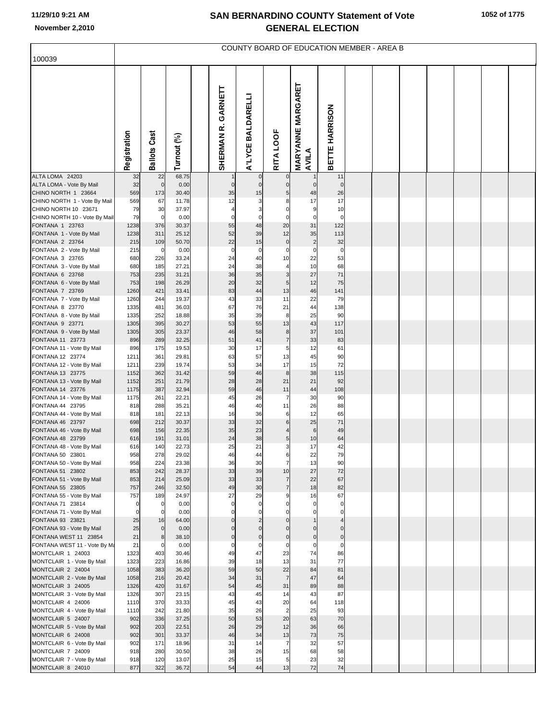| 100039                                                |                 |                     |                |                         |                         |                            |                                   | COUNTY BOARD OF EDUCATION MEMBER - AREA B |  |  |  |  |
|-------------------------------------------------------|-----------------|---------------------|----------------|-------------------------|-------------------------|----------------------------|-----------------------------------|-------------------------------------------|--|--|--|--|
|                                                       |                 |                     |                |                         |                         |                            |                                   |                                           |  |  |  |  |
|                                                       | Registration    | <b>Ballots Cast</b> | Turnout (%)    | GARNETT<br>œ<br>SHERMAN | A'LYCE BALDARELLI       | RITA LOOF                  | <b>MARYANNE MARGARET</b><br>AVILA | <b>BETTE HARRISON</b>                     |  |  |  |  |
| ALTA LOMA 24203<br>ALTA LOMA - Vote By Mail           | 32<br>32        | 22<br>$\mathbf 0$   | 68.75<br>0.00  | $\mathbf{0}$            | $\Omega$<br>$\mathbf 0$ | $\mathbf 0$<br>$\mathbf 0$ | $\mathbf 1$<br>$\overline{0}$     | 11<br>$\mathbf 0$                         |  |  |  |  |
| CHINO NORTH 1 23664                                   | 569             | 173                 | 30.40          | 35                      | 15                      | 5                          | 48                                | 26                                        |  |  |  |  |
| CHINO NORTH 1 - Vote By Mail                          | 569             | 67                  | 11.78          | 12                      | 3                       |                            | 17                                | 17                                        |  |  |  |  |
| CHINO NORTH 10 23671                                  | 79              | 30                  | 37.97          |                         | 3                       | $\Omega$                   | 9                                 | 10                                        |  |  |  |  |
| CHINO NORTH 10 - Vote By Mail<br>FONTANA 1 23763      | 79<br>1238      | $\mathbf 0$<br>376  | 0.00<br>30.37  | $\mathbf 0$<br>55       | $\Omega$<br>48          | $\Omega$<br>20             | $\mathbf 0$<br>31                 | $\mathbf 0$<br>122                        |  |  |  |  |
| FONTANA 1 - Vote By Mail                              | 1238            | 311                 | 25.12          | 52                      | 39                      | 12                         | 35                                | 113                                       |  |  |  |  |
| FONTANA 2 23764                                       | 215             | 109                 | 50.70          | 22                      | 15                      | $\mathbf 0$                | $\overline{2}$                    | 32                                        |  |  |  |  |
| FONTANA 2 - Vote By Mail                              | 215             | $\mathbf 0$         | 0.00           | $\mathbf 0$             | $\mathbf 0$             | $\mathbf 0$                | $\mathbf 0$                       | $\mathbf 0$                               |  |  |  |  |
| FONTANA 3 23765<br>FONTANA 3 - Vote By Mail           | 680<br>680      | 226<br>185          | 33.24<br>27.21 | 24<br>24                | 40<br>38                | 10<br>$\overline{4}$       | 22<br>10                          | 53<br>68                                  |  |  |  |  |
| FONTANA 6 23768                                       | 753             | 235                 | 31.21          | 36                      | 35                      | 3                          | 27                                | 71                                        |  |  |  |  |
| FONTANA 6 - Vote By Mail                              | 753             | 198                 | 26.29          | 20                      | 32                      | 5                          | 12                                | 75                                        |  |  |  |  |
| FONTANA 7 23769                                       | 1260            | 421                 | 33.41          | 83                      | 44                      | 13                         | 46                                | 141                                       |  |  |  |  |
| FONTANA 7 - Vote By Mail<br>FONTANA 8 23770           | 1260<br>1335    | 244<br>481          | 19.37<br>36.03 | 43<br>67                | 33<br>76                | 11<br>21                   | 22<br>44                          | 79<br>138                                 |  |  |  |  |
| FONTANA 8 - Vote By Mail                              | 1335            | 252                 | 18.88          | 35                      | 39                      | 8                          | 25                                | 90                                        |  |  |  |  |
| FONTANA 9 23771                                       | 1305            | 395                 | 30.27          | 53                      | 55                      | 13                         | 43                                | 117                                       |  |  |  |  |
| FONTANA 9 - Vote By Mail                              | 1305            | 305                 | 23.37          | 46                      | 58                      | 8                          | 37                                | 101                                       |  |  |  |  |
| FONTANA 11 23773                                      | 896<br>896      | 289<br>175          | 32.25<br>19.53 | 51<br>30                | 41<br>17                | $\overline{7}$<br>5        | 33<br>12                          | 83<br>61                                  |  |  |  |  |
| FONTANA 11 - Vote By Mail<br>FONTANA 12 23774         | 1211            | 361                 | 29.81          | 63                      | 57                      | 13                         | 45                                | 90                                        |  |  |  |  |
| FONTANA 12 - Vote By Mail                             | 1211            | 239                 | 19.74          | 53                      | 34                      | 17                         | 15                                | 72                                        |  |  |  |  |
| FONTANA 13 23775                                      | 1152            | 362                 | 31.42          | 59                      | 46                      | 8                          | 38                                | 115                                       |  |  |  |  |
| FONTANA 13 - Vote By Mail<br>FONTANA 14 23776         | 1152<br>1175    | 251<br>387          | 21.79<br>32.94 | 28<br>59                | 28<br>46                | 21<br>11                   | 21<br>44                          | 92<br>108                                 |  |  |  |  |
| FONTANA 14 - Vote By Mail                             | 1175            | 261                 | 22.21          | 45                      | 26                      | $\overline{7}$             | 30                                | 90                                        |  |  |  |  |
| FONTANA 44 23795                                      | 818             | 288                 | 35.21          | 46                      | 40                      | 11                         | 26                                | 88                                        |  |  |  |  |
| FONTANA 44 - Vote By Mail                             | 818             | 181                 | 22.13          | 16                      | 36                      | 6                          | 12                                | 65                                        |  |  |  |  |
| FONTANA 46 23797<br>FONTANA 46 - Vote By Mail         | 698<br>698      | 212<br>156          | 30.37<br>22.35 | 33<br>35                | 32<br>23                | 6<br>$\overline{4}$        | 25<br>$6 \mid$                    | 71<br>49                                  |  |  |  |  |
| FONTANA 48 23799                                      | 616             | 191                 | 31.01          | 24                      | 38                      | 5                          | 10                                | 64                                        |  |  |  |  |
| FONTANA 48 - Vote By Mail                             | 616             | 140                 | 22.73          | 25                      | 21                      | 3                          | 17                                | 42                                        |  |  |  |  |
| FONTANA 50 23801                                      | 958             | 278                 | 29.02          | 46                      | 44                      | 'n                         | 22                                | 79                                        |  |  |  |  |
| FONTANA 50 - Vote By Mail<br>FONTANA 51 23802         | 958<br>853      | 224<br>242          | 23.38<br>28.37 | 36<br>33                | 30<br>39                | $\overline{7}$<br>10       | 13<br>27                          | 90<br>72                                  |  |  |  |  |
| FONTANA 51 - Vote By Mail                             | 853             | 214                 | 25.09          | 33                      | 33                      | $\overline{7}$             | 22                                | 67                                        |  |  |  |  |
| FONTANA 55 23805                                      | 757             | 246                 | 32.50          | 49                      | 30                      | $\overline{7}$             | 18                                | 82                                        |  |  |  |  |
| FONTANA 55 - Vote By Mail                             | 757<br>$\Omega$ | 189                 | 24.97          | 27<br>$\mathbf 0$       | 29                      | 9                          | 16                                | 67                                        |  |  |  |  |
| FONTANA 71 23814<br>FONTANA 71 - Vote By Mail         | $\mathbf 0$     | 0<br>$\Omega$       | 0.00<br>0.00   |                         | $\mathbf 0$             |                            | 0                                 | 0                                         |  |  |  |  |
| FONTANA 93 23821                                      | 25              | 16                  | 64.00          |                         |                         |                            |                                   |                                           |  |  |  |  |
| FONTANA 93 - Vote By Mail                             | 25              | $\Omega$            | 0.00           |                         |                         |                            |                                   | $\mathbf{0}$                              |  |  |  |  |
| FONTANA WEST 11 23854<br>FONTANA WEST 11 - Vote By Ma | 21<br>21        | 8                   | 38.10<br>0.00  | $\Omega$<br>$\Omega$    | $\mathbf 0$<br>$\Omega$ | $\Omega$<br>$\mathbf 0$    | $\mathbf 0$<br>$\mathbf 0$        | $\overline{0}$<br>$\mathbf 0$             |  |  |  |  |
| MONTCLAIR 1 24003                                     | 1323            | 403                 | 30.46          | 49                      | 47                      | 23                         | 74                                | 86                                        |  |  |  |  |
| MONTCLAIR 1 - Vote By Mail                            | 1323            | 223                 | 16.86          | 39                      | 18                      | 13                         | 31                                | 77                                        |  |  |  |  |
| MONTCLAIR 2 24004                                     | 1058            | 383                 | 36.20          | 59                      | 50                      | 22                         | 84                                | 81                                        |  |  |  |  |
| MONTCLAIR 2 - Vote By Mail                            | 1058            | 216                 | 20.42<br>31.67 | 34<br>54                | 31                      | $\overline{7}$<br>31       | 47<br>89                          | 64                                        |  |  |  |  |
| MONTCLAIR 3 24005<br>MONTCLAIR 3 - Vote By Mail       | 1326<br>1326    | 420<br>307          | 23.15          | 43                      | 45<br>45                | 14                         | 43                                | 88<br>87                                  |  |  |  |  |
| MONTCLAIR 4 24006                                     | 1110            | 370                 | 33.33          | 45                      | 43                      | 20                         | 64                                | 118                                       |  |  |  |  |
| MONTCLAIR 4 - Vote By Mail                            | 1110            | 242                 | 21.80          | 35                      | 26                      | $\overline{2}$             | 25                                | 93                                        |  |  |  |  |
| MONTCLAIR 5 24007                                     | 902<br>902      | 336<br>203          | 37.25<br>22.51 | 50<br>26                | 53<br>29                | 20<br>12                   | 63<br>36                          | 70<br>66                                  |  |  |  |  |
| MONTCLAIR 5 - Vote By Mail<br>MONTCLAIR 6 24008       | 902             | 301                 | 33.37          | 46                      | 34                      | 13                         | 73                                | 75                                        |  |  |  |  |
| MONTCLAIR 6 - Vote By Mail                            | 902             | 171                 | 18.96          | 31                      | 14                      | $\overline{7}$             | 32                                | 57                                        |  |  |  |  |
| MONTCLAIR 7 24009                                     | 918             | 280                 | 30.50          | 38                      | 26                      | 15                         | 68                                | 58                                        |  |  |  |  |
| MONTCLAIR 7 - Vote By Mail                            | 918             | 120                 | 13.07          | 25                      | 15                      | 5                          | 23                                | 32                                        |  |  |  |  |
| MONTCLAIR 8 24010                                     | 877             | 322                 | 36.72          | 54                      | 44                      | 13                         | 72                                | 74                                        |  |  |  |  |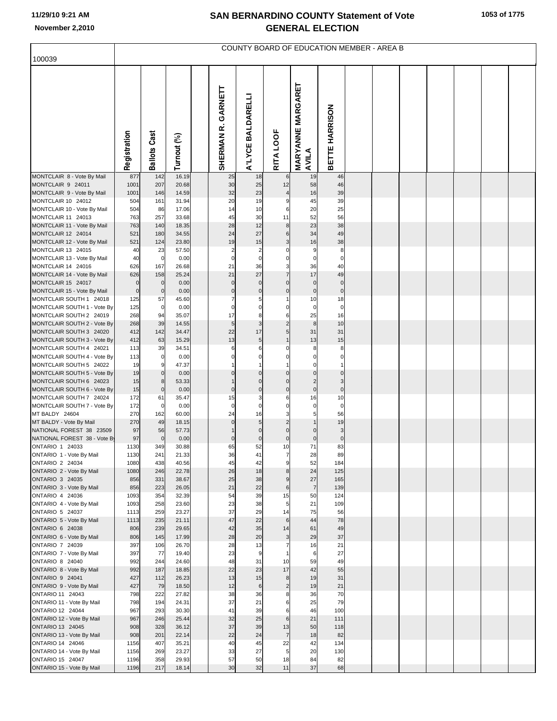| 100039                                                 |              |                      |                |                         |                         |                         | COUNTY BOARD OF EDUCATION MEMBER - AREA B |                       |  |  |  |  |
|--------------------------------------------------------|--------------|----------------------|----------------|-------------------------|-------------------------|-------------------------|-------------------------------------------|-----------------------|--|--|--|--|
|                                                        |              |                      |                |                         |                         |                         |                                           |                       |  |  |  |  |
|                                                        | Registration | <b>Ballots Cast</b>  | Turnout (%)    | GARNETT<br>œ<br>SHERMAN | A'LYCE BALDARELLI       | RITA LOOF               | <b>MARYANNE MARGARET</b><br>AVILA         | <b>BETTE HARRISON</b> |  |  |  |  |
| MONTCLAIR 8 - Vote By Mail                             | 877          | 142                  | 16.19          | 25                      | 18                      |                         | 19                                        | 46                    |  |  |  |  |
| MONTCLAIR 9 24011<br>MONTCLAIR 9 - Vote By Mail        | 1001<br>1001 | 207<br>146           | 20.68<br>14.59 | 30<br>32                | 25<br>23                | 12<br>$\overline{4}$    | 58<br>16                                  | 46<br>39              |  |  |  |  |
| MONTCLAIR 10 24012                                     | 504          | 161                  | 31.94          | 20                      | 19                      | 9                       | 45                                        | 39                    |  |  |  |  |
| MONTCLAIR 10 - Vote By Mail                            | 504          | 86                   | 17.06          | 14                      | 10                      | 6                       | 20                                        | 25                    |  |  |  |  |
| MONTCLAIR 11 24013<br>MONTCLAIR 11 - Vote By Mail      | 763<br>763   | 257<br>140           | 33.68          | 45<br>28                | 30<br>12                | 11<br>8                 | 52<br>23                                  | 56<br>38              |  |  |  |  |
| MONTCLAIR 12 24014                                     | 521          | 180                  | 18.35<br>34.55 | 24                      | 27                      | 6                       | 34                                        | 49                    |  |  |  |  |
| MONTCLAIR 12 - Vote By Mail                            | 521          | 124                  | 23.80          | 19                      | 15                      | 3                       | 16                                        | 38                    |  |  |  |  |
| MONTCLAIR 13 24015                                     | 40           | 23                   | 57.50          | $\overline{2}$          | $\overline{2}$          |                         | 9                                         | 8                     |  |  |  |  |
| MONTCLAIR 13 - Vote By Mail                            | 40           | $\overline{0}$       | 0.00           | $\mathsf{C}$            | 0                       | 0                       | 0                                         | 0                     |  |  |  |  |
| MONTCLAIR 14 24016<br>MONTCLAIR 14 - Vote By Mail      | 626<br>626   | 167<br>158           | 26.68<br>25.24 | 21<br>21                | 36<br>27                | 3<br>$\overline{7}$     | 36<br>17                                  | 40<br>49              |  |  |  |  |
| MONTCLAIR 15 24017                                     | $\mathbf 0$  | $\mathbf 0$          | 0.00           | $\Omega$                | $\mathbf 0$             | $\Omega$                | $\Omega$                                  | $\mathbf{0}$          |  |  |  |  |
| MONTCLAIR 15 - Vote By Mail                            | $\mathbf 0$  | $\overline{0}$       | 0.00           | $\mathbf 0$             | $\mathbf 0$             | $\mathbf 0$             | $\mathbf 0$                               | $\mathbf 0$           |  |  |  |  |
| MONTCLAIR SOUTH 1 24018                                | 125          | 57                   | 45.60          |                         | 5                       |                         | 10                                        | 18                    |  |  |  |  |
| MONTCLAIR SOUTH 1 - Vote By<br>MONTCLAIR SOUTH 2 24019 | 125<br>268   | $\overline{0}$<br>94 | 0.00<br>35.07  | $\mathsf{C}$<br>17      | 0<br>8                  | 0<br>6                  | $\mathbf 0$<br>25                         | $\mathbf 0$<br>16     |  |  |  |  |
| MONTCLAIR SOUTH 2 - Vote By                            | 268          | 39                   | 14.55          | 5                       | 3                       | $\overline{2}$          | 8                                         | 10                    |  |  |  |  |
| MONTCLAIR SOUTH 3 24020                                | 412          | 142                  | 34.47          | 22                      | 17                      | 5                       | 31                                        | 31                    |  |  |  |  |
| MONTCLAIR SOUTH 3 - Vote By                            | 412          | 63                   | 15.29          | 13<br>6                 | $\sqrt{5}$              |                         | 13<br>8                                   | 15                    |  |  |  |  |
| MONTCLAIR SOUTH 4 24021<br>MONTCLAIR SOUTH 4 - Vote By | 113<br>113   | 39<br>$\overline{0}$ | 34.51<br>0.00  |                         | 6<br>0                  |                         |                                           | 8<br>0                |  |  |  |  |
| MONTCLAIR SOUTH 5 24022                                | 19           | 9                    | 47.37          |                         |                         |                         |                                           |                       |  |  |  |  |
| MONTCLAIR SOUTH 5 - Vote By                            | 19           | $\overline{0}$       | 0.00           |                         | 0                       | $\Omega$                |                                           | $\Omega$              |  |  |  |  |
| MONTCLAIR SOUTH 6 24023<br>MONTCLAIR SOUTH 6 - Vote By | 15<br>15     | 8<br>$\overline{0}$  | 53.33<br>0.00  | $\mathbf 0$             | $\Omega$<br>$\mathbf 0$ | $\Omega$<br>$\mathbf 0$ | 2<br>$\Omega$                             | 3<br>$\mathbf 0$      |  |  |  |  |
| MONTCLAIR SOUTH 7 24024                                | 172          | 61                   | 35.47          | 15                      | 3                       | 6                       | 16                                        | 10                    |  |  |  |  |
| MONTCLAIR SOUTH 7 - Vote By                            | 172          | $\overline{0}$       | 0.00           | $\mathbf 0$             | $\mathbf 0$             | $\Omega$                | $\mathbf 0$                               | $\mathbf 0$           |  |  |  |  |
| MT BALDY 24604                                         | 270          | 162                  | 60.00          | 24                      | 16                      | 3                       | 5                                         | 56                    |  |  |  |  |
| MT BALDY - Vote By Mail<br>NATIONAL FOREST 38 23509    | 270<br>97    | 49<br>56             | 18.15<br>57.73 | $\Omega$                | $\sqrt{5}$<br>$\Omega$  |                         |                                           | 19<br>3               |  |  |  |  |
| NATIONAL FOREST 38 - Vote By                           | 97           | $\mathbf 0$          | 0.00           | C                       | $\mathbf 0$             | $\mathbf 0$             | $\mathcal{C}$                             | $\mathbf 0$           |  |  |  |  |
| ONTARIO 1 24033                                        | 1130         | 349                  | 30.88          | 65                      | 52                      | 10                      | 71                                        | 83                    |  |  |  |  |
| ONTARIO 1 - Vote By Mail                               | 1130         | 241                  | 21.33          | 36                      |                         |                         | 28<br>52                                  | 89                    |  |  |  |  |
| ONTARIO 2 24034<br>ONTARIO 2 - Vote By Mail            | 1080<br>1080 | 438<br>246           | 40.56<br>22.78 | 45<br>26                | 42<br>18                | 9<br>8                  | 24                                        | 184<br>125            |  |  |  |  |
| <b>ONTARIO 3 24035</b>                                 | 856          | 331                  | 38.67          | 25                      | 38                      | 9                       | 27                                        | 165                   |  |  |  |  |
| ONTARIO 3 - Vote By Mail                               | 856          | 223                  | 26.05          | 21                      | 22                      | 6                       | $\overline{7}$                            | 139                   |  |  |  |  |
| ONTARIO 4 24036<br>ONTARIO 4 - Vote By Mail            | 1093<br>1093 | 354<br>258           | 32.39<br>23.60 | 54<br>23                | 39<br>38                | 15<br>5                 | 50<br>21                                  | 124<br>109            |  |  |  |  |
| ONTARIO 5 24037                                        | 1113         | 259                  | 23.27          | 37                      | 29                      | 14                      | 75                                        | 56                    |  |  |  |  |
| ONTARIO 5 - Vote By Mail                               | 1113         | 235                  | 21.11          | 47                      | 22                      | 6                       | 44                                        | 78                    |  |  |  |  |
| ONTARIO 6 24038                                        | 806          | 239                  | 29.65          | 42                      | 35                      | 14                      | 61                                        | 49                    |  |  |  |  |
| ONTARIO 6 - Vote By Mail<br><b>ONTARIO 7 24039</b>     | 806<br>397   | 145<br>106           | 17.99<br>26.70 | 28<br>28                | 20<br>13                | $\mathbf{3}$            | 29<br>16                                  | 37<br>21              |  |  |  |  |
| ONTARIO 7 - Vote By Mail                               | 397          | 77                   | 19.40          | 23                      | $\overline{9}$          |                         | 6                                         | 27                    |  |  |  |  |
| ONTARIO 8 24040                                        | 992          | 244                  | 24.60          | 48                      | 31                      | 10                      | 59                                        | 49                    |  |  |  |  |
| ONTARIO 8 - Vote By Mail                               | 992<br>427   | 187<br>112           | 18.85          | 22<br>13                | 23<br>15                | 17<br>8                 | 42<br>19                                  | 55<br>31              |  |  |  |  |
| ONTARIO 9 24041<br>ONTARIO 9 - Vote By Mail            | 427          | 79                   | 26.23<br>18.50 | 12                      | $6\phantom{.}6$         | $\overline{c}$          | 19                                        | 21                    |  |  |  |  |
| ONTARIO 11 24043                                       | 798          | 222                  | 27.82          | 38                      | 36                      | 8                       | 36                                        | 70                    |  |  |  |  |
| ONTARIO 11 - Vote By Mail                              | 798          | 194                  | 24.31          | 37                      | 21                      | 6                       | 25                                        | 79                    |  |  |  |  |
| ONTARIO 12 24044                                       | 967<br>967   | 293<br>246           | 30.30<br>25.44 | 41<br>32                | 39<br>25                | 6<br>6                  | 46<br>21                                  | 100<br>111            |  |  |  |  |
| ONTARIO 12 - Vote By Mail<br>ONTARIO 13 24045          | 908          | 328                  | 36.12          | 37                      | 39                      | 13                      | 50                                        | 118                   |  |  |  |  |
| ONTARIO 13 - Vote By Mail                              | 908          | 201                  | 22.14          | 22                      | 24                      | $\overline{7}$          | 18                                        | 82                    |  |  |  |  |
| ONTARIO 14 24046                                       | 1156         | 407                  | 35.21          | 40                      | 45                      | 22                      | 42                                        | 134                   |  |  |  |  |
| ONTARIO 14 - Vote By Mail<br><b>ONTARIO 15 24047</b>   | 1156<br>1196 | 269<br>358           | 23.27<br>29.93 | 33<br>57                | 27<br>50                | 5<br>18                 | 20<br>84                                  | 130<br>82             |  |  |  |  |
| ONTARIO 15 - Vote By Mail                              | 1196         | 217                  | 18.14          | 30                      | 32                      | 11                      | 37                                        | 68                    |  |  |  |  |
|                                                        |              |                      |                |                         |                         |                         |                                           |                       |  |  |  |  |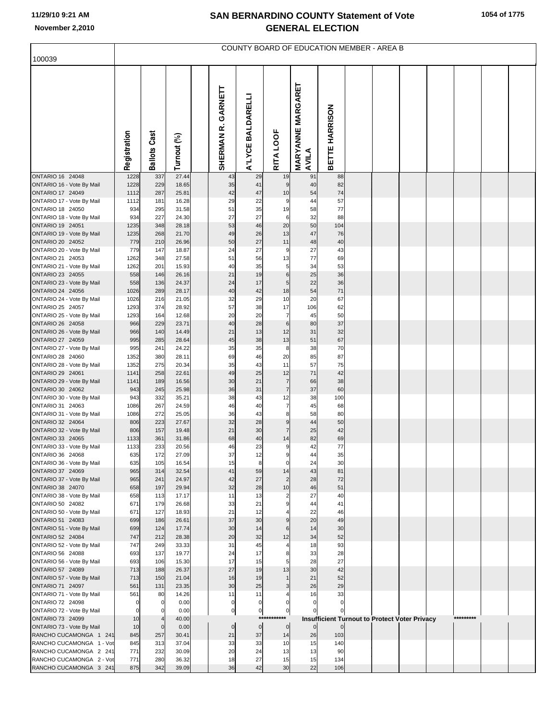| 100039                                               |                   |                     |                |                         |                    |                                  |                                   | COUNTY BOARD OF EDUCATION MEMBER - AREA B                       |  |  |           |  |
|------------------------------------------------------|-------------------|---------------------|----------------|-------------------------|--------------------|----------------------------------|-----------------------------------|-----------------------------------------------------------------|--|--|-----------|--|
|                                                      |                   |                     |                |                         |                    |                                  |                                   |                                                                 |  |  |           |  |
|                                                      | Registration      | <b>Ballots Cast</b> | Turnout (%)    | GARNETT<br>œ<br>SHERMAN | A'LYCE BALDARELLI  | RITA LOOF                        | <b>MARYANNE MARGARET</b><br>AVILA | BETTE HARRISON                                                  |  |  |           |  |
| ONTARIO 16 24048<br>ONTARIO 16 - Vote By Mail        | 1228<br>1228      | 337<br>229          | 27.44<br>18.65 | 43<br>35                | 29<br>41           | 19<br>9                          | 91<br>40                          | 88<br>82                                                        |  |  |           |  |
| ONTARIO 17 24049                                     | 1112              | 287                 | 25.81          | 42                      | 47                 | 10                               | 54                                | 74                                                              |  |  |           |  |
| ONTARIO 17 - Vote By Mail                            | 1112              | 181                 | 16.28          | 29                      | 22                 | 9                                | 44                                | 57                                                              |  |  |           |  |
| ONTARIO 18 24050                                     | 934               | 295                 | 31.58          | 51                      | 35                 | 19                               | 58                                | $77 \,$                                                         |  |  |           |  |
| ONTARIO 18 - Vote By Mail<br>ONTARIO 19 24051        | 934<br>1235       | 227<br>348          | 24.30<br>28.18 | 27<br>53                | 27<br>46           | $6\phantom{1}6$<br>20            | 32<br>50                          | 88<br>104                                                       |  |  |           |  |
| ONTARIO 19 - Vote By Mail                            | 1235              | 268                 | 21.70          | 49                      | 26                 | 13                               | 47                                | 76                                                              |  |  |           |  |
| ONTARIO 20 24052                                     | 779               | 210                 | 26.96          | 50                      | 27                 | 11                               | 48                                | 40                                                              |  |  |           |  |
| ONTARIO 20 - Vote By Mail                            | 779               | 147                 | 18.87          | 24                      | 27                 | 9                                | 27                                | 43                                                              |  |  |           |  |
| ONTARIO 21 24053<br>ONTARIO 21 - Vote By Mail        | 1262<br>1262      | 348<br>201          | 27.58<br>15.93 | 51<br>40                | 56<br>35           | 13<br>5                          | 77<br>34                          | 69<br>53                                                        |  |  |           |  |
| ONTARIO 23 24055                                     | 558               | 146                 | 26.16          | 21                      | 19                 | $6\phantom{.}6$                  | 25                                | 36                                                              |  |  |           |  |
| ONTARIO 23 - Vote By Mail                            | 558               | 136                 | 24.37          | 24                      | 17                 | 5                                | 22                                | 36                                                              |  |  |           |  |
| ONTARIO 24 24056                                     | 1026              | 289                 | 28.17          | 40                      | 42                 | 18                               | 54                                | 71                                                              |  |  |           |  |
| ONTARIO 24 - Vote By Mail<br>ONTARIO 25 24057        | 1026<br>1293      | 216<br>374          | 21.05<br>28.92 | 32<br>57                | 29<br>38           | 10<br>17                         | 20<br>106                         | 67<br>62                                                        |  |  |           |  |
| ONTARIO 25 - Vote By Mail                            | 1293              | 164                 | 12.68          | 20                      | 20                 | $\overline{7}$                   | 45                                | 50                                                              |  |  |           |  |
| ONTARIO 26 24058                                     | 966               | 229                 | 23.71          | 40                      | 28                 | $\,6$                            | 80                                | 37                                                              |  |  |           |  |
| ONTARIO 26 - Vote By Mail                            | 966               | 140                 | 14.49          | 21                      | 13                 | 12                               | 31                                | 32                                                              |  |  |           |  |
| ONTARIO 27 24059<br>ONTARIO 27 - Vote By Mail        | 995<br>995        | 285<br>241          | 28.64<br>24.22 | 45<br>35                | 38<br>35           | 13<br>8                          | 51<br>38                          | 67<br>70                                                        |  |  |           |  |
| ONTARIO 28 24060                                     | 1352              | 380                 | 28.11          | 69                      | 46                 | 20                               | 85                                | 87                                                              |  |  |           |  |
| ONTARIO 28 - Vote By Mail                            | 1352              | 275                 | 20.34          | 35                      | 43                 | 11                               | 57                                | 75                                                              |  |  |           |  |
| ONTARIO 29 24061                                     | 1141              | 258                 | 22.61          | 49                      | 25                 | 12                               | 71                                | 42                                                              |  |  |           |  |
| ONTARIO 29 - Vote By Mail<br>ONTARIO 30 24062        | 1141<br>943       | 189<br>245          | 16.56<br>25.98 | 30<br>36                | 21<br>31           | $\overline{7}$<br>$\overline{7}$ | 66<br>37                          | 38<br>60                                                        |  |  |           |  |
| ONTARIO 30 - Vote By Mail                            | 943               | 332                 | 35.21          | 38                      | 43                 | 12                               | 38                                | 100                                                             |  |  |           |  |
| ONTARIO 31 24063                                     | 1086              | 267                 | 24.59          | 46                      | 40                 | $\overline{7}$                   | 45                                | 68                                                              |  |  |           |  |
| ONTARIO 31 - Vote By Mail                            | 1086              | 272                 | 25.05          | 36                      | 43                 | 8                                | 58                                | 80                                                              |  |  |           |  |
| ONTARIO 32 24064<br>ONTARIO 32 - Vote By Mail        | 806<br>806        | 223<br>157          | 27.67<br>19.48 | 32<br>21                | 28<br>30           | 9<br>$\overline{7}$              | 44<br>25                          | 50<br>42                                                        |  |  |           |  |
| ONTARIO 33 24065                                     | 1133              | 361                 | 31.86          | 68                      | 40                 | 14                               | 82                                | 69                                                              |  |  |           |  |
| ONTARIO 33 - Vote By Mail                            | 1133              | 233                 | 20.56          | 46                      | 23                 | 9                                | 42                                | $77 \,$                                                         |  |  |           |  |
| ONTARIO 36 24068<br>ONTARIO 36 - Vote By Mail        | 635<br>635        | 172<br>105          | 27.09<br>16.54 | 37<br>15                | 12<br>8            | $\mathbf 0$                      | 44<br>24                          | 35<br>30                                                        |  |  |           |  |
| ONTARIO 37 24069                                     | 965               | 314                 | 32.54          | 41                      | 59                 | 14                               | 43                                | 81                                                              |  |  |           |  |
| ONTARIO 37 - Vote By Mail                            | 965               | 241                 | 24.97          | 42                      | 27                 | $\overline{2}$                   | 28                                | 72                                                              |  |  |           |  |
| ONTARIO 38 24070                                     | 658               | 197                 | 29.94          | 32                      | 28                 | 10                               | 46                                | 51                                                              |  |  |           |  |
| ONTARIO 38 - Vote By Mail<br>ONTARIO 50 24082        | 658<br>671        | 113<br>179          | 17.17<br>26.68 | 11<br>33                | 13<br>21           | $\overline{2}$<br>9              | 27<br>44                          | 40<br>41                                                        |  |  |           |  |
| ONTARIO 50 - Vote By Mail                            | 671               | 127                 | 18.93          | 21                      | 12                 |                                  | 22                                | 46                                                              |  |  |           |  |
| ONTARIO 51 24083                                     | 699               | 186                 | 26.61          | 37                      | 30                 | 9                                | 20                                | 49                                                              |  |  |           |  |
| ONTARIO 51 - Vote By Mail<br><b>ONTARIO 52 24084</b> | 699<br>747        | 124<br>212          | 17.74<br>28.38 | 30<br>20                | 14<br>32           | 6<br>12                          | 14<br>34                          | 30<br>52                                                        |  |  |           |  |
| ONTARIO 52 - Vote By Mail                            | 747               | 249                 | 33.33          | 31                      | 45                 | 4                                | 18                                | 93                                                              |  |  |           |  |
| ONTARIO 56 24088                                     | 693               | 137                 | 19.77          | 24                      | 17                 | 8                                | 33                                | 28                                                              |  |  |           |  |
| ONTARIO 56 - Vote By Mail                            | 693               | 106                 | 15.30          | 17                      | 15                 | 5                                | 28                                | 27                                                              |  |  |           |  |
| ONTARIO 57 24089<br>ONTARIO 57 - Vote By Mail        | 713<br>713        | 188<br>150          | 26.37<br>21.04 | 27<br>16                | 19<br>19           | 13<br>$\mathbf{1}$               | 30<br>21                          | 42<br>52                                                        |  |  |           |  |
| ONTARIO 71 24097                                     | 561               | 131                 | 23.35          | 30                      | 25                 | 3                                | 26                                | 29                                                              |  |  |           |  |
| ONTARIO 71 - Vote By Mail                            | 561               | 80                  | 14.26          | 11                      | 11                 |                                  | 16                                | 33                                                              |  |  |           |  |
| ONTARIO 72 24098                                     | $\pmb{0}$         | 0                   | 0.00           | $\mathbf 0$             | $\mathbf 0$        | $\Omega$                         | $\Omega$                          | $\Omega$                                                        |  |  |           |  |
| ONTARIO 72 - Vote By Mail<br>ONTARIO 73 24099        | $\mathbf 0$<br>10 |                     | 0.00<br>40.00  | $\pmb{0}$               | $\pmb{0}$<br>$***$ | $\mathbf 0$                      |                                   |                                                                 |  |  | ********* |  |
| ONTARIO 73 - Vote By Mail                            | 10                | $\mathbf 0$         | 0.00           | $\pmb{0}$               | $\overline{0}$     | $\overline{0}$                   | $\overline{0}$                    | Insufficient Turnout to Protect Voter Privacy<br>$\overline{0}$ |  |  |           |  |
| RANCHO CUCAMONGA 1 241                               | 845               | 257                 | 30.41          | 21                      | 37                 | 14                               | 26                                | 103                                                             |  |  |           |  |
| RANCHO CUCAMONGA 1 - Vot                             | 845               | 313                 | 37.04          | 33                      | 33                 | 10                               | 15                                | 140                                                             |  |  |           |  |
| RANCHO CUCAMONGA 2 241<br>RANCHO CUCAMONGA 2 - Vot   | 771<br>771        | 232<br>280          | 30.09<br>36.32 | 20<br>18                | 24<br>27           | 13<br>15                         | 13<br>15                          | 90<br>134                                                       |  |  |           |  |
| RANCHO CUCAMONGA 3 241                               | 875               | 342                 | 39.09          | 36                      | 42                 | 30                               | 22                                | 106                                                             |  |  |           |  |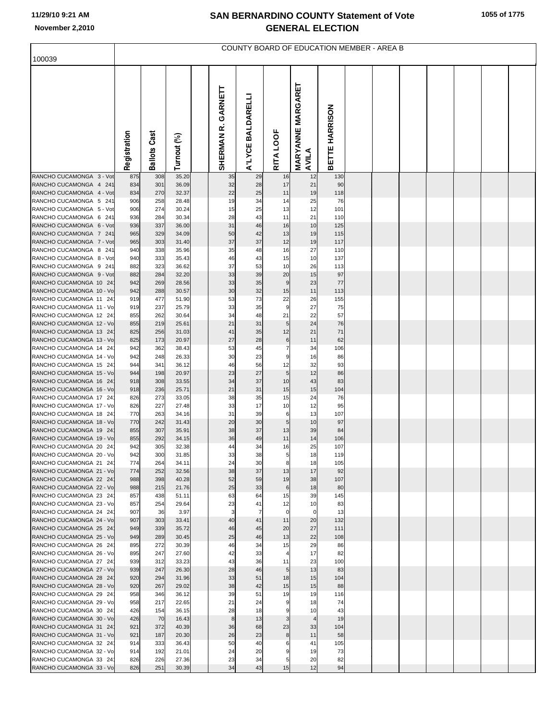## **11/29/10 9:21 AM**

| 100039                                             |              |            |                |                         |                   |                      | COUNTY BOARD OF EDUCATION MEMBER - AREA B |                       |  |  |  |  |
|----------------------------------------------------|--------------|------------|----------------|-------------------------|-------------------|----------------------|-------------------------------------------|-----------------------|--|--|--|--|
|                                                    |              |            |                |                         |                   |                      |                                           |                       |  |  |  |  |
|                                                    | Registration | Cast       | Turnout (%)    | GARNETT<br>œ<br>SHERMAN | A'LYCE BALDARELLI | RITA LOOF            | <b>MARYANNE MARGARET</b>                  | <b>BETTE HARRISON</b> |  |  |  |  |
|                                                    |              | Ballots    |                |                         |                   |                      | AVILA                                     |                       |  |  |  |  |
| RANCHO CUCAMONGA 3 - Vot                           | 875          | 308        | 35.20          | 35                      | 29                | 16                   | 12                                        | 130                   |  |  |  |  |
| RANCHO CUCAMONGA 4 241                             | 834          | 301        | 36.09          | 32                      | 28                | 17                   | 21                                        | 90                    |  |  |  |  |
| RANCHO CUCAMONGA 4 - Vot<br>RANCHO CUCAMONGA 5 241 | 834<br>906   | 270<br>258 | 32.37<br>28.48 | 22<br>19                | 25<br>34          | 11<br>14             | 19<br>25                                  | 118<br>76             |  |  |  |  |
| RANCHO CUCAMONGA 5 - Vot                           | 906          | 274        | 30.24          | 15                      | 25                | 13                   | 12                                        | 101                   |  |  |  |  |
| RANCHO CUCAMONGA 6 241                             | 936          | 284        | 30.34          | 28                      | 43                | 11                   | 21                                        | 110                   |  |  |  |  |
| RANCHO CUCAMONGA 6 - Vot                           | 936          | 337        | 36.00          | 31                      | 46                | 16                   | 10                                        | 125                   |  |  |  |  |
| RANCHO CUCAMONGA 7 241                             | 965          | 329        | 34.09          | 50                      | 42                | 13                   | 19                                        | 115                   |  |  |  |  |
| RANCHO CUCAMONGA 7 - Vot<br>RANCHO CUCAMONGA 8 241 | 965<br>940   | 303<br>338 | 31.40<br>35.96 | 37<br>35                | 37<br>48          | 12<br>16             | 19<br>27                                  | 117<br>110            |  |  |  |  |
| RANCHO CUCAMONGA 8 - Vot                           | 940          | 333        | 35.43          | 46                      | 43                | 15                   | 10                                        | 137                   |  |  |  |  |
| RANCHO CUCAMONGA 9 241                             | 882          | 323        | 36.62          | 37                      | 53                | 10                   | 26                                        | 113                   |  |  |  |  |
| RANCHO CUCAMONGA 9 - Vot                           | 882          | 284        | 32.20          | 33                      | 39                | 20                   | 15                                        | 97                    |  |  |  |  |
| RANCHO CUCAMONGA 10 24<br>RANCHO CUCAMONGA 10 - Vo | 942<br>942   | 269<br>288 | 28.56          | 33<br>30                | 35<br>32          | 9                    | 23<br>11                                  | 77<br>113             |  |  |  |  |
| RANCHO CUCAMONGA 11 24                             | 919          | 477        | 30.57<br>51.90 | 53                      | 73                | 15<br>22             | 26                                        | 155                   |  |  |  |  |
| RANCHO CUCAMONGA 11 - Vo                           | 919          | 237        | 25.79          | 33                      | 35                | 9                    | 27                                        | 75                    |  |  |  |  |
| RANCHO CUCAMONGA 12 24                             | 855          | 262        | 30.64          | 34                      | 48                | 21                   | 22                                        | 57                    |  |  |  |  |
| RANCHO CUCAMONGA 12 - Vo                           | 855          | 219        | 25.61          | 21                      | 31                | 5                    | 24                                        | 76                    |  |  |  |  |
| RANCHO CUCAMONGA 13 24<br>RANCHO CUCAMONGA 13 - Vo | 825<br>825   | 256<br>173 | 31.03<br>20.97 | 41<br>27                | 35<br>28          | 12<br>6              | 21<br>11                                  | 71<br>62              |  |  |  |  |
| RANCHO CUCAMONGA 14 24                             | 942          | 362        | 38.43          | 53                      | 45                | $\overline{7}$       | 34                                        | 106                   |  |  |  |  |
| RANCHO CUCAMONGA 14 - Vo                           | 942          | 248        | 26.33          | 30                      | 23                | g                    | 16                                        | 86                    |  |  |  |  |
| RANCHO CUCAMONGA 15 24                             | 944          | 341        | 36.12          | 46                      | 56                | 12                   | 32                                        | 93                    |  |  |  |  |
| RANCHO CUCAMONGA 15 - Vo                           | 944          | 198        | 20.97          | 23<br>34                | 27                | 5                    | 12                                        | 86                    |  |  |  |  |
| RANCHO CUCAMONGA 16 24<br>RANCHO CUCAMONGA 16 - Vo | 918<br>918   | 308<br>236 | 33.55<br>25.71 | 21                      | 37<br>31          | 10<br>15             | 43<br>15                                  | 83<br>104             |  |  |  |  |
| RANCHO CUCAMONGA 17 24                             | 826          | 273        | 33.05          | 38                      | 35                | 15                   | 24                                        | 76                    |  |  |  |  |
| RANCHO CUCAMONGA 17 - Vo                           | 826          | 227        | 27.48          | 33                      | 17                | 10                   | 12                                        | 95                    |  |  |  |  |
| RANCHO CUCAMONGA 18 24                             | 770          | 263        | 34.16          | 31                      | 39                | 6                    | 13                                        | 107                   |  |  |  |  |
| RANCHO CUCAMONGA 18 - Vo<br>RANCHO CUCAMONGA 19 24 | 770<br>855   | 242<br>307 | 31.43<br>35.91 | 20<br>38                | 30<br>37          | 5<br>13              | 10<br>39                                  | 97<br>84              |  |  |  |  |
| RANCHO CUCAMONGA 19 - Vo                           | 855          | 292        | 34.15          | 36                      | 49                | 11                   | 14                                        | 106                   |  |  |  |  |
| RANCHO CUCAMONGA 20 24                             | 942          | 305        | 32.38          | 44                      | 34                | 16                   | 25                                        | 107                   |  |  |  |  |
| RANCHO CUCAMONGA 20 - Vo                           | 942          | 300        | 31.85          | 33                      | 38                | 5                    | 18                                        | 119                   |  |  |  |  |
| RANCHO CUCAMONGA 21 24<br>RANCHO CUCAMONGA 21 - Vo | 774<br>774   | 264<br>252 | 34.11<br>32.56 | 24<br>38                | 30<br>37          | 8<br>13              | 18<br>17                                  | 105<br>92             |  |  |  |  |
| RANCHO CUCAMONGA 22 24                             | 988          | 398        | 40.28          | 52                      | 59                | 19                   | 38                                        | 107                   |  |  |  |  |
| RANCHO CUCAMONGA 22 - Vo                           | 988          | 215        | 21.76          | 25                      | 33                | 6                    | 18                                        | 80                    |  |  |  |  |
| RANCHO CUCAMONGA 23 24                             | 857          | 438        | 51.11          | 63                      | 64                | 15                   | 39                                        | 145                   |  |  |  |  |
| RANCHO CUCAMONGA 23 - Vo<br>RANCHO CUCAMONGA 24 24 | 857<br>907   | 254<br>36  | 29.64<br>3.97  | 23<br>3                 | 41<br>7           | 12<br>$\mathbf 0$    | 10<br>$\overline{0}$                      | 83<br>13              |  |  |  |  |
| RANCHO CUCAMONGA 24 - Vo                           | 907          | 303        | 33.41          | 40                      | 41                | 11                   | 20                                        | 132                   |  |  |  |  |
| RANCHO CUCAMONGA 25 24                             | 949          | 339        | 35.72          | 46                      | 45                | 20                   | 27                                        | 111                   |  |  |  |  |
| RANCHO CUCAMONGA 25 - Vo                           | 949          | 289        | 30.45          | 25                      | 46                | 13                   | 22                                        | 108                   |  |  |  |  |
| RANCHO CUCAMONGA 26 24                             | 895          | 272        | 30.39          | 46                      | 34                | 15                   | 29                                        | 86                    |  |  |  |  |
| RANCHO CUCAMONGA 26 - Vo<br>RANCHO CUCAMONGA 27 24 | 895<br>939   | 247<br>312 | 27.60<br>33.23 | 42<br>43                | 33<br>36          | $\overline{4}$<br>11 | 17<br>23                                  | 82<br>100             |  |  |  |  |
| RANCHO CUCAMONGA 27 - Vo                           | 939          | 247        | 26.30          | 28                      | 46                | 5                    | 13                                        | 83                    |  |  |  |  |
| RANCHO CUCAMONGA 28 24                             | 920          | 294        | 31.96          | 33                      | 51                | 18                   | 15                                        | 104                   |  |  |  |  |
| RANCHO CUCAMONGA 28 - Vo                           | 920          | 267        | 29.02          | 38                      | 42                | 15                   | 15                                        | 88                    |  |  |  |  |
| RANCHO CUCAMONGA 29 24<br>RANCHO CUCAMONGA 29 - Vo | 958<br>958   | 346<br>217 | 36.12<br>22.65 | 39<br>21                | 51<br>24          | 19<br>9              | 19                                        | 116<br>74             |  |  |  |  |
| RANCHO CUCAMONGA 30 24                             | 426          | 154        | 36.15          | 28                      | 18                | 9                    | 18<br>10                                  | 43                    |  |  |  |  |
| RANCHO CUCAMONGA 30 - Vo                           | 426          | 70         | 16.43          | 8                       | 13                | 3                    | $\overline{4}$                            | 19                    |  |  |  |  |
| RANCHO CUCAMONGA 31 24                             | 921          | 372        | 40.39          | 36                      | 68                | 23                   | 33                                        | 104                   |  |  |  |  |
| RANCHO CUCAMONGA 31 - Vo                           | 921          | 187        | 20.30          | 26                      | 23                | 8                    | 11                                        | 58                    |  |  |  |  |
| RANCHO CUCAMONGA 32 24<br>RANCHO CUCAMONGA 32 - Vo | 914<br>914   | 333<br>192 | 36.43<br>21.01 | 50<br>24                | 40<br>20          | 6<br>9               | 41<br>19                                  | 105<br>73             |  |  |  |  |
| RANCHO CUCAMONGA 33 24                             | 826          | 226        | 27.36          | 23                      | 34                | 5                    | 20                                        | 82                    |  |  |  |  |
| RANCHO CUCAMONGA 33 - Vo                           | 826          | 251        | 30.39          | 34                      | 43                | 15                   | 12                                        | 94                    |  |  |  |  |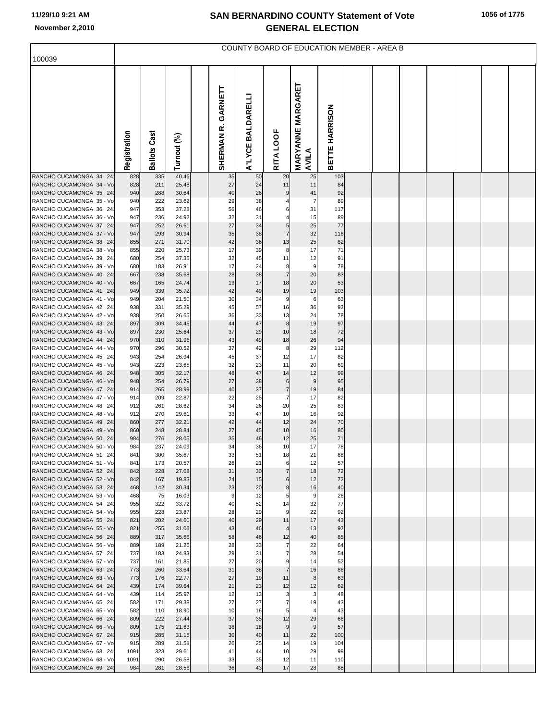| 100039                                             |              |                        |                |                         |                   |                     | COUNTY BOARD OF EDUCATION MEMBER - AREA B |                |  |  |  |  |
|----------------------------------------------------|--------------|------------------------|----------------|-------------------------|-------------------|---------------------|-------------------------------------------|----------------|--|--|--|--|
|                                                    |              |                        |                |                         |                   |                     |                                           |                |  |  |  |  |
|                                                    | Registration | Cast<br><b>Ballots</b> | Turnout (%)    | GARNETT<br>œ<br>SHERMAN | A'LYCE BALDARELLI | RITA LOOF           | <b>MARYANNE MARGARET</b><br>AVILA         | BETTE HARRISON |  |  |  |  |
| RANCHO CUCAMONGA 34 24                             | 828          | 335                    | 40.46          | 35                      | 50                | 20                  | 25                                        | 103            |  |  |  |  |
| RANCHO CUCAMONGA 34 - Vo                           | 828          | 211                    | 25.48          | 27                      | 24                | 11                  | 11                                        | 84             |  |  |  |  |
| RANCHO CUCAMONGA 35 24<br>RANCHO CUCAMONGA 35 - Vo | 940<br>940   | 288<br>222             | 30.64<br>23.62 | 40<br>29                | 26<br>38          | 9<br>4              | 41<br>$\overline{7}$                      | 92<br>89       |  |  |  |  |
| RANCHO CUCAMONGA 36 24                             | 947          | 353                    | 37.28          | 56                      | 46                | 6                   | 31                                        | 117            |  |  |  |  |
| RANCHO CUCAMONGA 36 - Vo                           | 947          | 236                    | 24.92          | 32                      | 31                |                     | 15                                        | 89             |  |  |  |  |
| RANCHO CUCAMONGA 37 24                             | 947          | 252                    | 26.61          | 27                      | 34                | 5                   | 25                                        | $77$           |  |  |  |  |
| RANCHO CUCAMONGA 37 - Vo                           | 947          | 293                    | 30.94          | 35                      | 38                | $\overline{7}$      | 32                                        | 116            |  |  |  |  |
| RANCHO CUCAMONGA 38 24<br>RANCHO CUCAMONGA 38 - Vo | 855<br>855   | 271<br>220             | 31.70<br>25.73 | 42<br>17                | 36<br>39          | 13<br>8             | 25<br>17                                  | 82<br>71       |  |  |  |  |
| RANCHO CUCAMONGA 39 24                             | 680          | 254                    | 37.35          | 32                      | 45                | 11                  | 12                                        | 91             |  |  |  |  |
| RANCHO CUCAMONGA 39 - Vo                           | 680          | 183                    | 26.91          | 17                      | 24                | 8                   | 9                                         | 78             |  |  |  |  |
| RANCHO CUCAMONGA 40 24                             | 667          | 238                    | 35.68          | 28                      | 38                | $\overline{7}$      | 20                                        | 83             |  |  |  |  |
| RANCHO CUCAMONGA 40 - Vo                           | 667          | 165                    | 24.74          | 19                      | 17                | 18                  | 20                                        | 53             |  |  |  |  |
| RANCHO CUCAMONGA 41 24<br>RANCHO CUCAMONGA 41 - Vo | 949<br>949   | 339<br>204             | 35.72<br>21.50 | 42<br>30                | 49<br>34          | 19<br>9             | 19<br>6                                   | 103<br>63      |  |  |  |  |
| RANCHO CUCAMONGA 42 24                             | 938          | 331                    | 35.29          | 45                      | 57                | 16                  | 36                                        | 92             |  |  |  |  |
| RANCHO CUCAMONGA 42 - Vo                           | 938          | 250                    | 26.65          | 36                      | 33                | 13                  | 24                                        | 78             |  |  |  |  |
| RANCHO CUCAMONGA 43 24                             | 897          | 309                    | 34.45          | 44                      | 47                | 8                   | 19                                        | 97             |  |  |  |  |
| RANCHO CUCAMONGA 43 - Vo<br>RANCHO CUCAMONGA 44 24 | 897<br>970   | 230<br>310             | 25.64<br>31.96 | 37<br>43                | 29<br>49          | 10<br>18            | 18<br>26                                  | 72<br>94       |  |  |  |  |
| RANCHO CUCAMONGA 44 - Vo                           | 970          | 296                    | 30.52          | 37                      | 42                | 8                   | 29                                        | 112            |  |  |  |  |
| RANCHO CUCAMONGA 45 24                             | 943          | 254                    | 26.94          | 45                      | 37                | 12                  | 17                                        | 82             |  |  |  |  |
| RANCHO CUCAMONGA 45 - Vo                           | 943          | 223                    | 23.65          | 32                      | 23                | 11                  | 20                                        | 69             |  |  |  |  |
| RANCHO CUCAMONGA 46 24<br>RANCHO CUCAMONGA 46 - Vo | 948<br>948   | 305<br>254             | 32.17<br>26.79 | 48<br>27                | 47<br>38          | 14                  | 12<br>9                                   | 99<br>95       |  |  |  |  |
| RANCHO CUCAMONGA 47 24                             | 914          | 265                    | 28.99          | 40                      | 37                | 6<br>$\overline{7}$ | 19                                        | 84             |  |  |  |  |
| RANCHO CUCAMONGA 47 - Vo                           | 914          | 209                    | 22.87          | 22                      | 25                | $\overline{7}$      | 17                                        | 82             |  |  |  |  |
| RANCHO CUCAMONGA 48 24                             | 912          | 261                    | 28.62          | 34                      | 26                | 20                  | 25                                        | 83             |  |  |  |  |
| RANCHO CUCAMONGA 48 - Vo                           | 912          | 270                    | 29.61          | 33                      | 47                | 10                  | 16                                        | 92             |  |  |  |  |
| RANCHO CUCAMONGA 49 24<br>RANCHO CUCAMONGA 49 - Vo | 860<br>860   | 277<br>248             | 32.21<br>28.84 | 42<br>27                | 44<br>45          | 12<br>10            | 24<br>16                                  | 70<br>80       |  |  |  |  |
| RANCHO CUCAMONGA 50 24                             | 984          | 276                    | 28.05          | 35                      | 46                | 12                  | 25                                        | $71\,$         |  |  |  |  |
| RANCHO CUCAMONGA 50 - Vo                           | 984          | 237                    | 24.09          | 34                      | 36                | 10                  | 17                                        | 78             |  |  |  |  |
| RANCHO CUCAMONGA 51 24                             | 841          | 300                    | 35.67          | 33                      | 51                | 18                  | 21                                        | 88             |  |  |  |  |
| RANCHO CUCAMONGA 51 - Vo<br>RANCHO CUCAMONGA 52 24 | 841<br>842   | 173<br>228             | 20.57<br>27.08 | 26<br>31                | 21<br>30          | 6<br>$\overline{7}$ | 12<br>18                                  | 57<br>72       |  |  |  |  |
| RANCHO CUCAMONGA 52 - Vo                           | 842          | 167                    | 19.83          | 24                      | 15                | 6                   | 12                                        | 72             |  |  |  |  |
| RANCHO CUCAMONGA 53 24                             | 468          | 142                    | 30.34          | 23                      | 20                | 8                   | 16                                        | 40             |  |  |  |  |
| RANCHO CUCAMONGA 53 - Vo                           | 468          | 75                     | 16.03          | 9                       | 12                | 5                   | 9                                         | 26             |  |  |  |  |
| RANCHO CUCAMONGA 54 24                             | 955          | 322                    | 33.72          | 40                      | 52                | 14                  | 32                                        | 77             |  |  |  |  |
| RANCHO CUCAMONGA 54 - Vo<br>RANCHO CUCAMONGA 55 24 | 955<br>821   | 228<br>202             | 23.87<br>24.60 | 28<br>40                | 29<br>29          | 9<br>11             | 22<br>17                                  | 92<br>43       |  |  |  |  |
| RANCHO CUCAMONGA 55 - Vo                           | 821          | 255                    | 31.06          | 43                      | 46                | 4                   | 13                                        | 92             |  |  |  |  |
| RANCHO CUCAMONGA 56 24                             | 889          | 317                    | 35.66          | 58                      | 46                | 12                  | 40                                        | 85             |  |  |  |  |
| RANCHO CUCAMONGA 56 - Vo                           | 889          | 189                    | 21.26          | 28                      | 33                | $\overline{7}$      | 22                                        | 64             |  |  |  |  |
| RANCHO CUCAMONGA 57 24<br>RANCHO CUCAMONGA 57 - Vo | 737<br>737   | 183<br>161             | 24.83<br>21.85 | 29<br>27                | 31<br>20          | $\overline{7}$<br>9 | 28<br>14                                  | 54<br>52       |  |  |  |  |
| RANCHO CUCAMONGA 63 24                             | 773          | 260                    | 33.64          | 31                      | 38                | $\overline{7}$      | 16                                        | 86             |  |  |  |  |
| RANCHO CUCAMONGA 63 - Vo                           | 773          | 176                    | 22.77          | 27                      | 19                | 11                  | 8                                         | 63             |  |  |  |  |
| RANCHO CUCAMONGA 64 24                             | 439          | 174                    | 39.64          | 21                      | 23                | 12                  | 12                                        | 62             |  |  |  |  |
| RANCHO CUCAMONGA 64 - Vo<br>RANCHO CUCAMONGA 65 24 | 439<br>582   | 114<br>171             | 25.97<br>29.38 | 12<br>27                | 13<br>27          | 3<br>$\overline{7}$ | 3<br>19                                   | 48<br>43       |  |  |  |  |
| RANCHO CUCAMONGA 65 - Vo                           | 582          | 110                    | 18.90          | 10                      | 16                | 5                   | $\overline{4}$                            | 43             |  |  |  |  |
| RANCHO CUCAMONGA 66 24                             | 809          | 222                    | 27.44          | 37                      | 35                | 12                  | 29                                        | 66             |  |  |  |  |
| RANCHO CUCAMONGA 66 - Vo                           | 809          | 175                    | 21.63          | 38                      | 18                | 9                   | 9                                         | 57             |  |  |  |  |
| RANCHO CUCAMONGA 67 24                             | 915          | 285                    | 31.15          | 30                      | 40                | 11                  | 22                                        | 100            |  |  |  |  |
| RANCHO CUCAMONGA 67 - Vo<br>RANCHO CUCAMONGA 68 24 | 915<br>1091  | 289<br>323             | 31.58<br>29.61 | 26<br>41                | 25<br>44          | 14<br>10            | 19<br>29                                  | 104<br>99      |  |  |  |  |
| RANCHO CUCAMONGA 68 - Vo                           | 1091         | 290                    | 26.58          | 33                      | 35                | 12                  | 11                                        | 110            |  |  |  |  |
| RANCHO CUCAMONGA 69 24                             | 984          | 281                    | 28.56          | 36                      | 43                | 17                  | 28                                        | 88             |  |  |  |  |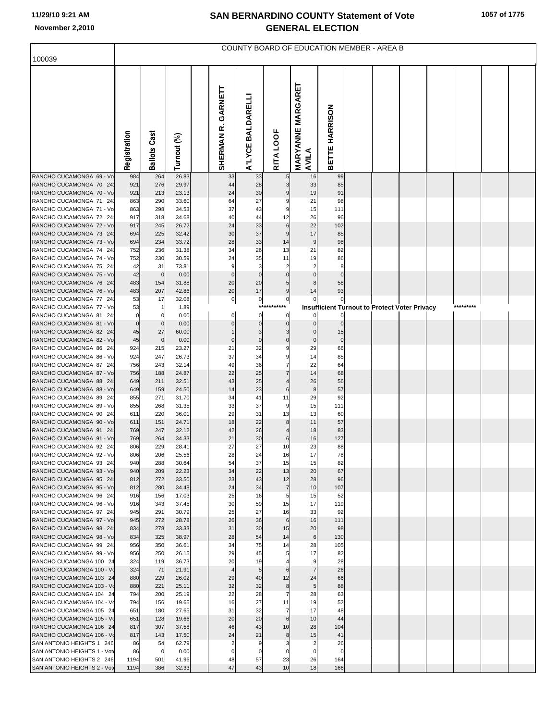|                                                        |                   |                     |                |                       |                   |                       | COUNTY BOARD OF EDUCATION MEMBER - AREA B |                  |  |                                                      |           |  |
|--------------------------------------------------------|-------------------|---------------------|----------------|-----------------------|-------------------|-----------------------|-------------------------------------------|------------------|--|------------------------------------------------------|-----------|--|
| 100039                                                 |                   |                     |                |                       |                   |                       |                                           |                  |  |                                                      |           |  |
|                                                        | Registration      | <b>Ballots Cast</b> | Turnout (%)    | GARNETT<br>SHERMAN R. | A'LYCE BALDARELLI | RITA LOOF             | <b>MARYANNE MARGARET</b><br>AVILA         | BETTE HARRISON   |  |                                                      |           |  |
| RANCHO CUCAMONGA 69 - Vo                               | 984               | 264                 | 26.83          | 33                    | 33                |                       | 16                                        | 99               |  |                                                      |           |  |
| RANCHO CUCAMONGA 70 24<br>RANCHO CUCAMONGA 70 - Vo     | 921<br>921        | 276<br>213          | 29.97<br>23.13 | 44<br>24              | 28<br>30          |                       | 33<br>19                                  | 85<br>91         |  |                                                      |           |  |
| RANCHO CUCAMONGA 71 24                                 | 863               | 290                 | 33.60          | 64                    | 27                | g                     | 21                                        | 98               |  |                                                      |           |  |
| RANCHO CUCAMONGA 71 - Vo                               | 863               | 298                 | 34.53          | 37                    | 43                |                       | 15                                        | 111              |  |                                                      |           |  |
| RANCHO CUCAMONGA 72 24                                 | 917               | 318                 | 34.68          | 40                    | 44                | 12                    | 26                                        | 96               |  |                                                      |           |  |
| RANCHO CUCAMONGA 72 - Vo<br>RANCHO CUCAMONGA 73 24     | 917<br>694        | 245<br>225          | 26.72<br>32.42 | 24<br>30              | 33<br>37          | $6\phantom{1}6$<br>g  | 22<br>17                                  | 102<br>85        |  |                                                      |           |  |
| RANCHO CUCAMONGA 73 - Vo                               | 694               | 234                 | 33.72          | 28                    | 33                | 14                    | $9\,$                                     | 98               |  |                                                      |           |  |
| RANCHO CUCAMONGA 74 24                                 | 752               | 236                 | 31.38          | 34                    | 26                | 13                    | 21                                        | 82               |  |                                                      |           |  |
| RANCHO CUCAMONGA 74 - Vo                               | 752               | 230                 | 30.59          | 24                    | 35                | 11                    | 19                                        | 86               |  |                                                      |           |  |
| RANCHO CUCAMONGA 75 24<br>RANCHO CUCAMONGA 75 - Vo     | 42<br>42          | 31<br>$\mathbf 0$   | 73.81<br>0.00  | 9<br>$\mathbf 0$      | 3<br>$\mathbf 0$  |                       |                                           | 8<br>$\mathbf 0$ |  |                                                      |           |  |
| RANCHO CUCAMONGA 76 24                                 | 483               | 154                 | 31.88          | 20                    | 20                | 5                     |                                           | 58               |  |                                                      |           |  |
| RANCHO CUCAMONGA 76 - Vo                               | 483               | 207                 | 42.86          | 20                    | 17                | 9                     | 14                                        | 93               |  |                                                      |           |  |
| RANCHO CUCAMONGA 77 24                                 | 53                | 17                  | 32.08          | $\overline{0}$        | $\overline{0}$    | $\mathbf 0$           |                                           | $\circ$          |  |                                                      |           |  |
| RANCHO CUCAMONGA 77 - Vo<br>RANCHO CUCAMONGA 81 24     | 53<br>$\mathbf 0$ |                     | 1.89<br>0.00   | 0                     | ***<br>$\Omega$   | ***<br>$\Omega$       |                                           | 0                |  | <b>Insufficient Turnout to Protect Voter Privacy</b> | ********* |  |
| RANCHO CUCAMONGA 81 - Vo                               | $\mathbf 0$       |                     | 0.00           | $\Omega$              | $\Omega$          | $\Omega$              | $\Omega$                                  | $\mathbf 0$      |  |                                                      |           |  |
| RANCHO CUCAMONGA 82 24                                 | 45                | 27                  | 60.00          |                       | 3                 |                       | $\Omega$                                  | 15               |  |                                                      |           |  |
| RANCHO CUCAMONGA 82 - Vo                               | 45                | $\mathbf 0$         | 0.00           | $\mathbf 0$           | $\mathbf 0$       | $\mathbf 0$           | $\mathbf 0$                               | $\circ$          |  |                                                      |           |  |
| RANCHO CUCAMONGA 86 24<br>RANCHO CUCAMONGA 86 - Vo     | 924<br>924        | 215<br>247          | 23.27<br>26.73 | 21<br>37              | 32<br>34          | ç<br>g                | 29<br>14                                  | 66<br>85         |  |                                                      |           |  |
| RANCHO CUCAMONGA 87 24                                 | 756               | 243                 | 32.14          | 49                    | 36                | $\overline{7}$        | 22                                        | 64               |  |                                                      |           |  |
| RANCHO CUCAMONGA 87 - Vo                               | 756               | 188                 | 24.87          | 22                    | 25                | $\overline{7}$        | 14                                        | 68               |  |                                                      |           |  |
| RANCHO CUCAMONGA 88 24                                 | 649               | 211                 | 32.51          | 43                    | 25                |                       | 26                                        | 56               |  |                                                      |           |  |
| RANCHO CUCAMONGA 88 - Vo<br>RANCHO CUCAMONGA 89 24     | 649<br>855        | 159<br>271          | 24.50<br>31.70 | 14<br>34              | 23<br>41          | 6<br>11               | $\bf 8$<br>29                             | 57<br>92         |  |                                                      |           |  |
| RANCHO CUCAMONGA 89 - Vo                               | 855               | 268                 | 31.35          | 33                    | 37                | ç                     | 15                                        | 111              |  |                                                      |           |  |
| RANCHO CUCAMONGA 90 24                                 | 611               | 220                 | 36.01          | 29                    | 31                | 13                    | 13                                        | 60               |  |                                                      |           |  |
| RANCHO CUCAMONGA 90 - Vo                               | 611               | 151                 | 24.71          | 18                    | 22                | 8                     | 11                                        | 57               |  |                                                      |           |  |
| RANCHO CUCAMONGA 91 24<br>RANCHO CUCAMONGA 91 - Vo     | 769<br>769        | 247<br>264          | 32.12<br>34.33 | 42<br>21              | 26<br>30          | 6                     | 18<br>16                                  | 83<br>127        |  |                                                      |           |  |
| RANCHO CUCAMONGA 92 24                                 | 806               | 229                 | 28.41          | 27                    | 27                | 10                    | 23                                        | 88               |  |                                                      |           |  |
| RANCHO CUCAMONGA 92 - Vo                               | 806               | 206                 | 25.56          | 28                    | 24                | 16                    | 17                                        | 78               |  |                                                      |           |  |
| RANCHO CUCAMONGA 93 24                                 | 940               | 288                 | 30.64          | 54                    | 37                | 15                    | 15                                        | 82               |  |                                                      |           |  |
| RANCHO CUCAMONGA 93 - Vo<br>RANCHO CUCAMONGA 95 24     | 940<br>812        | 209<br>272          | 22.23<br>33.50 | 34<br>23              | 22<br>43          | 13<br>12              | 20<br>28                                  | 67<br>96         |  |                                                      |           |  |
| RANCHO CUCAMONGA 95 - Vo                               | 812               | 280                 | 34.48          | 24                    | 34                | $\overline{7}$        | 10                                        | 107              |  |                                                      |           |  |
| RANCHO CUCAMONGA 96 24                                 | 916               | 156                 | 17.03          | 25                    | 16                | 5                     | 15                                        | 52               |  |                                                      |           |  |
| RANCHO CUCAMONGA 96 - Vo                               | 916               | 343                 | 37.45          | 30                    | 59                | 15                    | 17                                        | 119              |  |                                                      |           |  |
| RANCHO CUCAMONGA 97 24<br>RANCHO CUCAMONGA 97 - Vo     | 945<br>945        | 291<br>272          | 30.79<br>28.78 | 25<br>26              | 27<br>36          | 16<br>$6\phantom{1}6$ | 33<br>16                                  | 92<br>111        |  |                                                      |           |  |
| RANCHO CUCAMONGA 98 24                                 | 834               | 278                 | 33.33          | 31                    | 30                | 15                    | 20                                        | 98               |  |                                                      |           |  |
| RANCHO CUCAMONGA 98 - Vo                               | 834               | 325                 | 38.97          | 28                    | 54                | 14                    | 6                                         | 130              |  |                                                      |           |  |
| RANCHO CUCAMONGA 99 24                                 | 956               | 350                 | 36.61          | 34                    | 75                | 14                    | 28                                        | 105              |  |                                                      |           |  |
| RANCHO CUCAMONGA 99 - Vo<br>RANCHO CUCAMONGA 100 24    | 956<br>324        | 250<br>119          | 26.15<br>36.73 | 29<br>20              | 45<br>19          | 5                     | 17<br>9                                   | 82<br>28         |  |                                                      |           |  |
| RANCHO CUCAMONGA 100 - Vo                              | 324               | 71                  | 21.91          | $\overline{4}$        | 5                 | 6                     | $\overline{7}$                            | 26               |  |                                                      |           |  |
| RANCHO CUCAMONGA 103 24                                | 880               | 229                 | 26.02          | 29                    | 40                | 12                    | 24                                        | 66               |  |                                                      |           |  |
| RANCHO CUCAMONGA 103 - Vo                              | 880               | 221                 | 25.11          | 32                    | 32                | 8                     | 5                                         | 88               |  |                                                      |           |  |
| RANCHO CUCAMONGA 104 24<br>RANCHO CUCAMONGA 104 - Vo   | 794<br>794        | 200<br>156          | 25.19<br>19.65 | 22<br>16              | 28<br>27          | $\overline{7}$<br>11  | 28<br>19                                  | 63<br>52         |  |                                                      |           |  |
| RANCHO CUCAMONGA 105 24                                | 651               | 180                 | 27.65          | 31                    | 32                | $\overline{7}$        | 17                                        | 48               |  |                                                      |           |  |
| RANCHO CUCAMONGA 105 - Vo                              | 651               | 128                 | 19.66          | 20                    | 20                | $6\phantom{1}6$       | 10                                        | 44               |  |                                                      |           |  |
| RANCHO CUCAMONGA 106 24                                | 817               | 307                 | 37.58          | 46                    | 43                | 10                    | 28                                        | 104              |  |                                                      |           |  |
| RANCHO CUCAMONGA 106 - Vo<br>SAN ANTONIO HEIGHTS 1 246 | 817<br>86         | 143<br>54           | 17.50<br>62.79 | 24<br>$\overline{2}$  | 21<br>9           | 8                     | 15<br>$\overline{2}$                      | 41<br>26         |  |                                                      |           |  |
| SAN ANTONIO HEIGHTS 1 - Vote                           | 86                | 0                   | 0.00           | $\Omega$              | $\mathbf 0$       |                       | $\mathbf 0$                               | $\mathbf 0$      |  |                                                      |           |  |
| SAN ANTONIO HEIGHTS 2 246                              | 1194              | 501                 | 41.96          | 48                    | 57                | 23                    | 26                                        | 164              |  |                                                      |           |  |
| SAN ANTONIO HEIGHTS 2 - Vote                           | 1194              | 386                 | 32.33          | 47                    | 43                | 10                    | 18                                        | 166              |  |                                                      |           |  |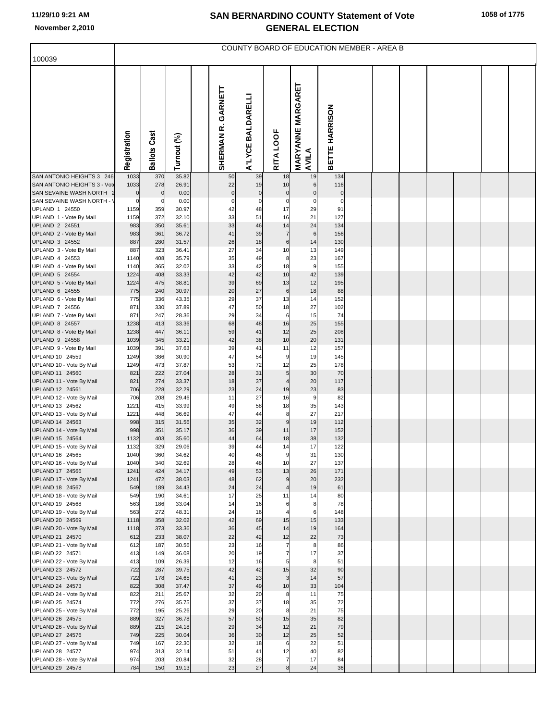| 100039                                                 |                     |                     |                |                       |                   |                                |                                   | COUNTY BOARD OF EDUCATION MEMBER - AREA B |  |  |  |  |
|--------------------------------------------------------|---------------------|---------------------|----------------|-----------------------|-------------------|--------------------------------|-----------------------------------|-------------------------------------------|--|--|--|--|
|                                                        |                     |                     |                |                       |                   |                                |                                   |                                           |  |  |  |  |
|                                                        | Registration        | <b>Ballots Cast</b> | Turnout (%)    | GARNETT<br>SHERMAN R. | A'LYCE BALDARELLI | RITA LOOF                      | <b>MARYANNE MARGARET</b><br>AVILA | BETTE HARRISON                            |  |  |  |  |
| SAN ANTONIO HEIGHTS 3 246                              | 1033                | 370                 | 35.82          | 50                    | 39                | 18                             | 19                                | 134                                       |  |  |  |  |
| SAN ANTONIO HEIGHTS 3 - Vote<br>SAN SEVAINE WASH NORTH | 1033<br>$\mathbf 0$ | 278<br>$\Omega$     | 26.91<br>0.00  | 22<br>$\pmb{0}$       | 19<br>$\pmb{0}$   | 10<br>$\mathbf 0$              | $6\phantom{1}$<br>$\pmb{0}$       | 116<br>$\pmb{0}$                          |  |  |  |  |
| SAN SEVAINE WASH NORTH -                               | $\mathbf 0$         | 0                   | 0.00           | $\mathbf 0$           | $\pmb{0}$         | $\mathbf 0$                    | $\mathbf 0$                       | $\mathbf 0$                               |  |  |  |  |
| UPLAND 1 24550                                         | 1159                | 359                 | 30.97          | 42                    | 48                | 17                             | 29                                | 91                                        |  |  |  |  |
| UPLAND 1 - Vote By Mail<br>UPLAND 2 24551              | 1159<br>983         | 372<br>350          | 32.10<br>35.61 | 33<br>33              | 51<br>46          | 16<br>14                       | 21<br>24                          | 127<br>134                                |  |  |  |  |
| UPLAND 2 - Vote By Mail                                | 983                 | 361                 | 36.72          | 41                    | 39                | $\overline{7}$                 | $6\phantom{1}$                    | 156                                       |  |  |  |  |
| UPLAND 3 24552                                         | 887                 | 280                 | 31.57          | 26                    | 18                | $\,6$                          | 14                                | 130                                       |  |  |  |  |
| UPLAND 3 - Vote By Mail                                | 887                 | 323                 | 36.41          | 27                    | 34                | 10                             | 13                                | 149                                       |  |  |  |  |
| UPLAND 4 24553<br>UPLAND 4 - Vote By Mail              | 1140<br>1140        | 408<br>365          | 35.79<br>32.02 | 35<br>33              | 49<br>42          | 8<br>18                        | 23<br>$\overline{9}$              | 167<br>155                                |  |  |  |  |
| UPLAND 5 24554                                         | 1224                | 408                 | 33.33          | 42                    | 42                | 10                             | 42                                | 139                                       |  |  |  |  |
| UPLAND 5 - Vote By Mail                                | 1224                | 475                 | 38.81          | 39                    | 69                | 13                             | 12                                | 195                                       |  |  |  |  |
| UPLAND 6 24555                                         | 775                 | 240                 | 30.97          | 20                    | 27                | $\,$ 6                         | 18                                | 88                                        |  |  |  |  |
| UPLAND 6 - Vote By Mail<br>UPLAND 7 24556              | 775<br>871          | 336<br>330          | 43.35<br>37.89 | 29<br>47              | 37<br>50          | 13<br>18                       | 14<br>27                          | 152<br>102                                |  |  |  |  |
| UPLAND 7 - Vote By Mail                                | 871                 | 247                 | 28.36          | 29                    | 34                | $6\phantom{1}6$                | 15                                | 74                                        |  |  |  |  |
| <b>UPLAND 8 24557</b>                                  | 1238                | 413                 | 33.36          | 68                    | 48                | 16                             | 25                                | 155                                       |  |  |  |  |
| UPLAND 8 - Vote By Mail<br>UPLAND 9 24558              | 1238                | 447                 | 36.11<br>33.21 | 59<br>42              | 41<br>38          | 12<br>10                       | 25<br>20                          | 208                                       |  |  |  |  |
| UPLAND 9 - Vote By Mail                                | 1039<br>1039        | 345<br>391          | 37.63          | 39                    | 41                | 11                             | 12                                | 131<br>157                                |  |  |  |  |
| UPLAND 10 24559                                        | 1249                | 386                 | 30.90          | 47                    | 54                | 9                              | 19                                | 145                                       |  |  |  |  |
| UPLAND 10 - Vote By Mail                               | 1249                | 473                 | 37.87          | 53                    | 72                | 12                             | 25                                | 178                                       |  |  |  |  |
| UPLAND 11 24560<br>UPLAND 11 - Vote By Mail            | 821<br>821          | 222<br>274          | 27.04<br>33.37 | 28<br>18              | 31<br>37          | 5<br>$\overline{\mathcal{L}}$  | 30<br>20                          | 70<br>117                                 |  |  |  |  |
| UPLAND 12 24561                                        | 706                 | 228                 | 32.29          | 23                    | 24                | 19                             | 23                                | 83                                        |  |  |  |  |
| UPLAND 12 - Vote By Mail                               | 706                 | 208                 | 29.46          | 11                    | 27                | 16                             | $9\,$                             | 82                                        |  |  |  |  |
| UPLAND 13 24562                                        | 1221                | 415                 | 33.99          | 49                    | 58                | 18<br>8                        | 35<br>27                          | 143                                       |  |  |  |  |
| UPLAND 13 - Vote By Mail<br>UPLAND 14 24563            | 1221<br>998         | 448<br>315          | 36.69<br>31.56 | 47<br>35              | 44<br>32          | 9                              | 19                                | 217<br>112                                |  |  |  |  |
| UPLAND 14 - Vote By Mail                               | 998                 | 351                 | 35.17          | 36                    | 39                | 11                             | 17                                | 152                                       |  |  |  |  |
| UPLAND 15 24564                                        | 1132                | 403                 | 35.60          | 44                    | 64                | 18                             | 38                                | 132                                       |  |  |  |  |
| UPLAND 15 - Vote By Mail<br>UPLAND 16 24565            | 1132<br>1040        | 329<br>360          | 29.06<br>34.62 | 39<br>40              | 44<br>46          | 14                             | 17<br>31                          | 122<br>130                                |  |  |  |  |
| UPLAND 16 - Vote By Mail                               | 1040                | 340                 | 32.69          | 28                    | 48                | 10                             | 27                                | 137                                       |  |  |  |  |
| UPLAND 17 24566                                        | 1241                | 424                 | 34.17          | 49                    | 53                | 13                             | 26                                | 171                                       |  |  |  |  |
| UPLAND 17 - Vote By Mail                               | 1241<br>549         | 472<br>189          | 38.03<br>34.43 | 48<br>24              | 62<br>24          | 9                              | 20<br>19                          | 232<br>61                                 |  |  |  |  |
| UPLAND 18 24567<br>UPLAND 18 - Vote By Mail            | 549                 | 190                 | 34.61          | 17                    | 25                | $\overline{\mathcal{L}}$<br>11 | 14                                | 80                                        |  |  |  |  |
| UPLAND 19 24568                                        | 563                 | 186                 | 33.04          | 14                    | 16                | 6                              | 8                                 | 78                                        |  |  |  |  |
| UPLAND 19 - Vote By Mail                               | 563                 | 272                 | 48.31          | 24                    | 16                |                                | 6                                 | 148                                       |  |  |  |  |
| UPLAND 20 24569<br>UPLAND 20 - Vote By Mail            | 1118<br>1118        | 358<br>373          | 32.02<br>33.36 | 42<br>36              | 69<br>45          | 15<br>14                       | 15<br>19                          | 133<br>164                                |  |  |  |  |
| UPLAND 21 24570                                        | 612                 | 233                 | 38.07          | 22                    | 42                | 12                             | 22                                | 73                                        |  |  |  |  |
| UPLAND 21 - Vote By Mail                               | 612                 | 187                 | 30.56          | 23                    | 16                | $\overline{7}$                 | 8                                 | 86                                        |  |  |  |  |
| UPLAND 22 24571                                        | 413<br>413          | 149<br>109          | 36.08<br>26.39 | 20<br>12              | 19<br>16          | $\overline{7}$                 | 17<br>8                           | 37<br>51                                  |  |  |  |  |
| UPLAND 22 - Vote By Mail<br>UPLAND 23 24572            | 722                 | 287                 | 39.75          | 42                    | 42                | 5<br>15                        | 32                                | 90                                        |  |  |  |  |
| UPLAND 23 - Vote By Mail                               | 722                 | 178                 | 24.65          | 41                    | 23                | 3                              | 14                                | 57                                        |  |  |  |  |
| UPLAND 24 24573                                        | 822                 | 308                 | 37.47          | 37                    | 49                | 10                             | 33                                | 104                                       |  |  |  |  |
| UPLAND 24 - Vote By Mail                               | 822                 | 211<br>276          | 25.67<br>35.75 | 32<br>37              | 20<br>37          | 8<br>18                        | 11                                | 75                                        |  |  |  |  |
| UPLAND 25 24574<br>UPLAND 25 - Vote By Mail            | 772<br>772          | 195                 | 25.26          | 29                    | 20                | 8                              | 35<br>21                          | 72<br>75                                  |  |  |  |  |
| UPLAND 26 24575                                        | 889                 | 327                 | 36.78          | 57                    | 50                | 15                             | 35                                | 82                                        |  |  |  |  |
| UPLAND 26 - Vote By Mail                               | 889                 | 215                 | 24.18          | 29                    | 34                | 12                             | 21                                | 79                                        |  |  |  |  |
| UPLAND 27 24576<br>UPLAND 27 - Vote By Mail            | 749<br>749          | 225<br>167          | 30.04<br>22.30 | 36<br>32              | 30<br>18          | 12<br>$\,6$                    | 25<br>22                          | 52<br>51                                  |  |  |  |  |
| UPLAND 28 24577                                        | 974                 | 313                 | 32.14          | 51                    | 41                | 12                             | 40                                | 82                                        |  |  |  |  |
| UPLAND 28 - Vote By Mail                               | 974                 | 203                 | 20.84          | 32                    | 28                | $\overline{7}$                 | 17                                | 84                                        |  |  |  |  |
| UPLAND 29 24578                                        | 784                 | 150                 | 19.13          | 23                    | 27                | 8                              | 24                                | 36                                        |  |  |  |  |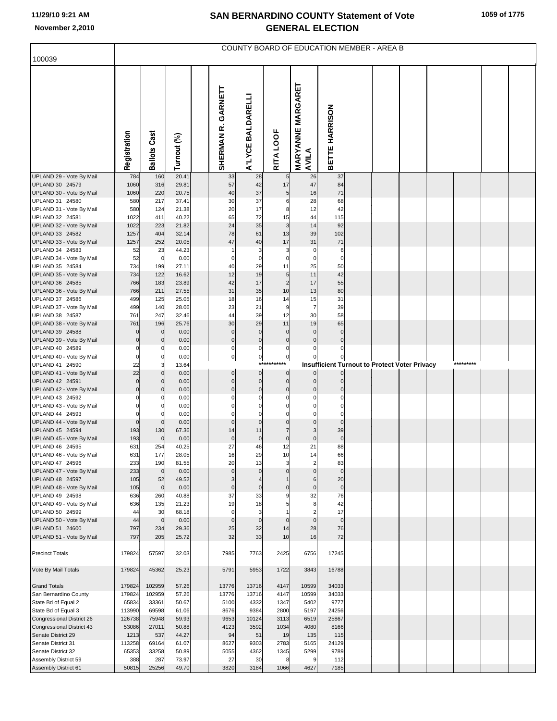| 100039                                             |                  |                               |                |                             |                            |                            |                                   | COUNTY BOARD OF EDUCATION MEMBER - AREA B            |  |  |           |  |
|----------------------------------------------------|------------------|-------------------------------|----------------|-----------------------------|----------------------------|----------------------------|-----------------------------------|------------------------------------------------------|--|--|-----------|--|
|                                                    |                  |                               |                |                             |                            |                            |                                   |                                                      |  |  |           |  |
|                                                    | Registration     | <b>Ballots Cast</b>           | Turnout (%)    | GARNETT<br>SHERMAN R.       | A'LYCE BALDARELLI          | RITA LOOF                  | <b>MARYANNE MARGARET</b><br>AVILA | BETTE HARRISON                                       |  |  |           |  |
| UPLAND 29 - Vote By Mail<br>UPLAND 30 24579        | 784<br>1060      | 160<br>316                    | 20.41<br>29.81 | 33<br>57                    | 28<br>42                   | 17                         | 26<br>47                          | 37<br>84                                             |  |  |           |  |
| UPLAND 30 - Vote By Mail                           | 1060             | 220                           | 20.75          | 40                          | 37                         | 5                          | 16                                | 71                                                   |  |  |           |  |
| UPLAND 31 24580                                    | 580              | 217                           | 37.41          | 30                          | 37                         | 6                          | 28                                | 68                                                   |  |  |           |  |
| UPLAND 31 - Vote By Mail<br>UPLAND 32 24581        | 580<br>1022      | 124<br>411                    | 21.38<br>40.22 | 20<br>65                    | 17<br>72                   | 8<br>15                    | 12<br>44                          | 42<br>115                                            |  |  |           |  |
| UPLAND 32 - Vote By Mail                           | 1022             | 223                           | 21.82          | 24                          | 35                         | 3                          | 14                                | 92                                                   |  |  |           |  |
| UPLAND 33 24582                                    | 1257             | 404                           | 32.14          | 78                          | 61                         | 13                         | 39                                | 102                                                  |  |  |           |  |
| UPLAND 33 - Vote By Mail                           | 1257             | 252                           | 20.05          | 47                          | 40                         | 17                         | 31                                | 71                                                   |  |  |           |  |
| UPLAND 34 24583                                    | 52               | 23                            | 44.23          |                             | 3                          | 3                          | $\mathbf 0$                       | 6                                                    |  |  |           |  |
| UPLAND 34 - Vote By Mail<br>UPLAND 35 24584        | 52<br>734        | $\mathbf 0$<br>199            | 0.00<br>27.11  | 0<br>40                     | $\mathbf 0$<br>29          | $\mathbf 0$<br>11          | $\mathbf 0$<br>25                 | $\mathbf 0$<br>50                                    |  |  |           |  |
| UPLAND 35 - Vote By Mail                           | 734              | 122                           | 16.62          | 12                          | 19                         | 5                          | 11                                | 42                                                   |  |  |           |  |
| UPLAND 36 24585                                    | 766              | 183                           | 23.89          | 42                          | 17                         | $\overline{2}$             | 17                                | 55                                                   |  |  |           |  |
| UPLAND 36 - Vote By Mail                           | 766              | 211                           | 27.55          | 31                          | 35                         | 10                         | 13                                | 80                                                   |  |  |           |  |
| UPLAND 37 24586<br>UPLAND 37 - Vote By Mail        | 499<br>499       | 125<br>140                    | 25.05<br>28.06 | 18<br>23                    | 16<br>21                   | 14<br>9                    | 15<br>$\overline{7}$              | 31<br>39                                             |  |  |           |  |
| UPLAND 38 24587                                    | 761              | 247                           | 32.46          | 44                          | 39                         | 12                         | 30                                | 58                                                   |  |  |           |  |
| UPLAND 38 - Vote By Mail                           | 761              | 196                           | 25.76          | 30                          | 29                         | 11                         | 19                                | 65                                                   |  |  |           |  |
| UPLAND 39 24588                                    | 0                | $\overline{0}$                | 0.00           | $\mathbf 0$                 | $\mathbf 0$                | $\mathbf 0$                | $\mathbf 0$                       | $\mathbf 0$                                          |  |  |           |  |
| UPLAND 39 - Vote By Mail<br>UPLAND 40 24589        | $\Omega$         | $\mathbf{0}$<br>$\mathbf 0$   | 0.00<br>0.00   | $\pmb{0}$<br>$\mathbf 0$    | $\pmb{0}$<br>$\mathbf 0$   | $\mathbf 0$<br>$\mathbf 0$ | $\mathbf 0$<br>$\Omega$           | $\mathbf 0$                                          |  |  |           |  |
| UPLAND 40 - Vote By Mail                           | $\Omega$         | $\Omega$                      | 0.00           | $\overline{0}$              | $\overline{0}$             | $\bf 0$                    |                                   |                                                      |  |  |           |  |
| UPLAND 41 24590                                    | 22               | 3                             | 13.64          |                             | ***                        | *******                    |                                   | <b>Insufficient Turnout to Protect Voter Privacy</b> |  |  | ********* |  |
| UPLAND 41 - Vote By Mail                           | 22<br>$\Omega$   | $\overline{0}$                | 0.00           | $\mathbf 0$                 | $\overline{0}$             | $\mathbf 0$                | $\overline{0}$                    | <sub>0</sub>                                         |  |  |           |  |
| UPLAND 42 24591<br>UPLAND 42 - Vote By Mail        | $\Omega$         | $\mathbf 0$<br>$\overline{0}$ | 0.00<br>0.00   | $\mathbf{0}$<br>$\mathbf 0$ | $\mathbf 0$<br>$\mathbf 0$ | $\mathbf 0$<br>$\mathbf 0$ | $\Omega$<br>$\mathbf 0$           | $\mathbf 0$<br>$\Omega$                              |  |  |           |  |
| UPLAND 43 24592                                    |                  | 0                             | 0.00           |                             | 0                          | $\Omega$                   | $\Omega$                          |                                                      |  |  |           |  |
| UPLAND 43 - Vote By Mail                           |                  | $\mathbf 0$                   | 0.00           |                             | $\Omega$                   | $\Omega$                   | $\mathbf 0$                       | $\Omega$                                             |  |  |           |  |
| UPLAND 44 24593                                    |                  |                               | 0.00           |                             | $\Omega$                   | $\sqrt{ }$                 | $\Omega$                          | $\Omega$<br>$\mathbf{0}$                             |  |  |           |  |
| UPLAND 44 - Vote By Mail<br>UPLAND 45 24594        | $\Omega$<br>193  | $\overline{0}$<br>130         | 0.00<br>67.36  | $\mathbf 0$<br>14           | $\mathbf 0$<br>11          | $\Omega$<br>$\overline{7}$ | $\mathbf 0$<br>3                  | 39                                                   |  |  |           |  |
| UPLAND 45 - Vote By Mail                           | 193              | $\overline{0}$                | 0.00           | $\mathbf 0$                 | $\pmb{0}$                  | $\mathbf 0$                | $\mathbf 0$                       | $\mathbf 0$                                          |  |  |           |  |
| UPLAND 46 24595                                    | 631              | 254                           | 40.25          | 27                          | 46                         | 12                         | 21                                | 88                                                   |  |  |           |  |
| UPLAND 46 - Vote By Mail<br>UPLAND 47 24596        | 631              | 177                           | 28.05          | 16                          | 29<br>13                   | 10<br>3                    | 14<br>$\overline{2}$              | 66<br>83                                             |  |  |           |  |
| UPLAND 47 - Vote By Mail                           | 233<br>233       | 190<br>$\overline{0}$         | 81.55<br>0.00  | 20<br>$\mathbf 0$           | $\mathbf 0$                | $\mathbf{0}$               | $\mathbf 0$                       | $\mathbf{0}$                                         |  |  |           |  |
| UPLAND 48 24597                                    | 105              | 52                            | 49.52          | 3                           |                            | $\overline{1}$             | 6                                 | 20                                                   |  |  |           |  |
| UPLAND 48 - Vote By Mail                           | 105              | $\mathbf 0$                   | 0.00           | $\mathbf 0$                 | $\mathbf 0$                | $\mathbf 0$                | $\mathbf 0$                       | $\mathbf 0$                                          |  |  |           |  |
| UPLAND 49 24598<br>UPLAND 49 - Vote By Mail        | 636<br>636       | 260<br>135                    | 40.88<br>21.23 | 37<br>19                    | 33<br>18                   | 9<br>5                     | 32<br>8                           | 76<br>42                                             |  |  |           |  |
| UPLAND 50 24599                                    | 44               | 30                            | 68.18          | $\mathbf 0$                 | 3                          |                            | $\overline{2}$                    | 17                                                   |  |  |           |  |
| UPLAND 50 - Vote By Mail                           | 44               | $\overline{0}$                | 0.00           | $\mathbf 0$                 | $\mathbf 0$                | $\mathbf{0}$               | $\mathbf 0$                       | $\mathbf 0$                                          |  |  |           |  |
| UPLAND 51 24600                                    | 797              | 234                           | 29.36          | 25                          | 32                         | 14                         | 28                                | 76                                                   |  |  |           |  |
| UPLAND 51 - Vote By Mail<br><b>Precinct Totals</b> | 797<br>179824    | 205<br>57597                  | 25.72<br>32.03 | 32<br>7985                  | 33<br>7763                 | 10<br>2425                 | 16<br>6756                        | 72<br>17245                                          |  |  |           |  |
| Vote By Mail Totals                                | 179824           | 45362                         | 25.23          | 5791                        | 5953                       | 1722                       | 3843                              | 16788                                                |  |  |           |  |
| <b>Grand Totals</b>                                | 179824           | 102959                        | 57.26          | 13776                       | 13716                      | 4147                       | 10599                             | 34033                                                |  |  |           |  |
| San Bernardino County                              | 179824           | 102959                        | 57.26          | 13776                       | 13716                      | 4147                       | 10599                             | 34033                                                |  |  |           |  |
| State Bd of Equal 2                                | 65834            | 33361                         | 50.67          | 5100                        | 4332                       | 1347                       | 5402                              | 9777                                                 |  |  |           |  |
| State Bd of Equal 3<br>Congressional District 26   | 113990<br>126738 | 69598<br>75948                | 61.06<br>59.93 | 8676<br>9653                | 9384<br>10124              | 2800<br>3113               | 5197<br>6519                      | 24256<br>25867                                       |  |  |           |  |
| Congressional District 43                          | 53086            | 27011                         | 50.88          | 4123                        | 3592                       | 1034                       | 4080                              | 8166                                                 |  |  |           |  |
| Senate District 29                                 | 1213             | 537                           | 44.27          | 94                          | 51                         | 19                         | 135                               | 115                                                  |  |  |           |  |
| Senate District 31                                 | 113258           | 69164                         | 61.07          | 8627                        | 9303                       | 2783                       | 5165                              | 24129                                                |  |  |           |  |
| Senate District 32                                 | 65353            | 33258                         | 50.89          | 5055                        | 4362                       | 1345                       | 5299                              | 9789                                                 |  |  |           |  |
| Assembly District 59<br>Assembly District 61       | 388<br>50815     | 287<br>25256                  | 73.97<br>49.70 | 27<br>3820                  | 30<br>3184                 | 8<br>1066                  | 9<br>4627                         | 112<br>7185                                          |  |  |           |  |
|                                                    |                  |                               |                |                             |                            |                            |                                   |                                                      |  |  |           |  |